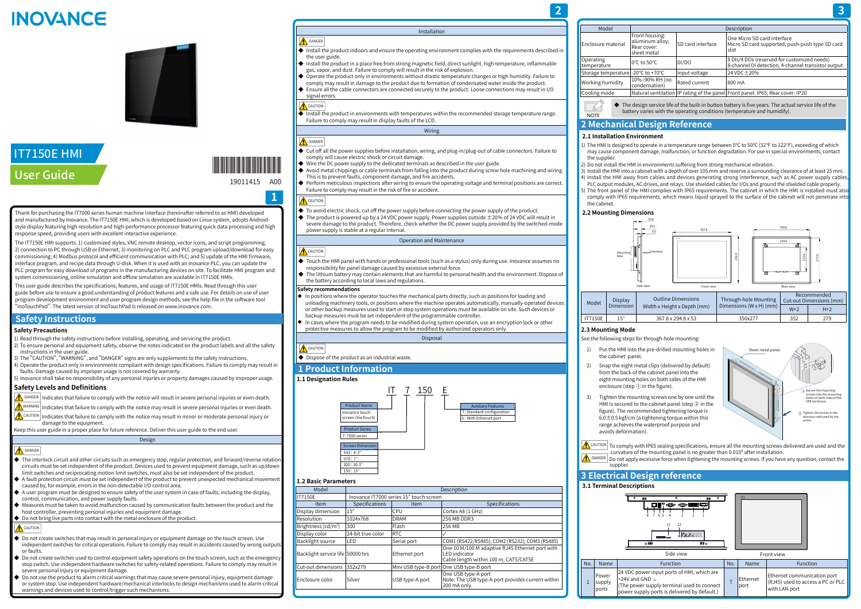Installation

the user guide.

◆ Install the product in a place free from strong magnetic field, direct sunlight, high temperature, inflammable

◆ Operate the product only in environments without drastic temperature changes or high humidity. Failure to comply may result in damage to the product due to formation of condensated water inside the product. ◆ Ensure all the cable connectors are connected securely to the product. Loose connections may result in I/O

◆ Install the product in environments with temperatures within the recommended storage temperature range.

gas, vapor, and dust. Failure to comply will result in the risk of explosion.

 $\blacklozenge$  Wire the DC power supply to the dedicated terminals as described in the user guide.

signal errors. CAUTION

**A** DANGER

**A** CAUTION

Failure to comply may result in display faults of the LCD.

Wiring

◆ Cut off all the power supplies before installation, wiring, and plug-in/plug-out of cable connectors. Failure to

◆ Avoid metal chippings or cable terminals from falling into the product during screw hole machining and wiring.

comply will cause electric shock or circuit damage.

- ◆ Touch the HMI panel with hands or professional tools (such as a stylus) only during use. Inovance assumes no responsibility for panel damage caused by excessive external force.
- ◆ The lithium battery may contain elements that are harmful to personal health and the environment. Dispose of the battery according to local laws and regulations.

This is to prevent faults, component damage, and fire accidents.

◆ Perform meticulous inspections after wiring to ensure the operating voltage and terminal positions are correct.

- ◆ In positions where the operator touches the mechanical parts directly, such as positions for loading and unloading machinery tools, or positions where the machine operates automatically, manually-operated devices or other backup measures used to start or stop system operations must be available on site. Such devices or backup measures must be set independent of the programmable controller.
- In cases where the program needs to be modified during system operation, use an encryption lock or other protective measures to allow the program to be modified by authorized operators only.

Failure to comply may result in the risk of fire or accident.

◆ Install the product indoors and ensure the operating environment complies with the requirements described in

- **A** CAUTION
- ◆ Dispose of the product as an industrial waste.

◆ To avoid electric shock, cut off the power supply before connecting the power supply of the product.  $\blacklozenge$  The product is powered up by a 24 VDC power supply. Power supplies outside  $\pm 20\%$  of 24 VDC will result in severe damage to the product. Therefore, check whether the DC power supply provided by the switched-mode power supply is stable at a regular interval.

#### Operation and Maintenance

# **A** CAUTION

**A** DANGER

#### **Safety recommendations**

 $\hat{A}$  CAUTION Indicates that failure to comply with the notice may result in minor or moderate personal injury or damage to the equipment.

### Disposal

### **1 Product Information**

### **1.1 Designation Rules**



### **1.2 Basic Parameters**

- $\blacklozenge$  Do not create switches that may result in personal injury or equipment damage on the touch screen. Use independent switches for critical operations. Failure to comply may result in accidents caused by wrong outputs or faults.
- $\blacklozenge$  Do not create switches used to control equipment safety operations on the touch screen, such as the emergency stop switch. Use independent hardware switches for safety-related operations. Failure to comply may result in severe personal injury or equipment damage.
- $\blacktriangleright$  Do not use the product to alarm critical warnings that may cause severe personal injury, equipment damage or system stop. Use independent hardware/mechanical interlocks to design mechanisms used to alarm critical warnings and devices used to control/trigger such mechanisms.

## Enclosure material  $Fronth$ aluminu Rear cov sheet m Operating<br>temperature Storage temperature -20℃ to<br>+10%-90 Working humidity  $\begin{bmatrix} 10\% - 90 \\ \text{conden} \end{bmatrix}$ Cooling mode Natural

| Model                            |                   | Description                             |                                                                                                           |  |  |  |  |
|----------------------------------|-------------------|-----------------------------------------|-----------------------------------------------------------------------------------------------------------|--|--|--|--|
| <b>IT7150E</b>                   |                   | Inovance IT7000 series 15" touch screen |                                                                                                           |  |  |  |  |
| Item                             | Specifications    | Item                                    | Specifications                                                                                            |  |  |  |  |
| Display dimension                | 15"               | <b>CPU</b>                              | Cortex A8 (1 GHz)                                                                                         |  |  |  |  |
| <b>Resolution</b>                | 1024x768          | <b>DRAM</b>                             | 256 MB DDR3                                                                                               |  |  |  |  |
| Brightness ( $cd/m2$ )           | 300               | Flash                                   | 256 MB                                                                                                    |  |  |  |  |
| Display color                    | 24-bit true color | <b>RTC</b>                              |                                                                                                           |  |  |  |  |
| <b>Backlight source</b>          | LED               | Serial port                             | COM1 (RS422/RS485); COM2 (RS232); COM3 (RS485)                                                            |  |  |  |  |
| Backlight service life 50000 hrs |                   | Ethernet port                           | One 10 M/100 M adaptive RJ45 Ethernet port with<br>LED indicator<br>Cable length within 100 m, CAT5/CAT5E |  |  |  |  |
| lCut-out dimensions              | 352x279           |                                         | Mini USB type-B port One USB type-B port                                                                  |  |  |  |  |
| lEnclosure color                 | Silver            | USB type-A port                         | One USB type-A port<br>Note: The USB type-A port provides current within<br>200 mA only.                  |  |  |  |  |

### **Safety Precautions**

- 1) Read through the safety instructions before installing, operating, and servicing the product. 2) To ensure personal and equipment safety, observe the notes indicated on the product labels and all the safety
- instructions in the user guide.
- 3) The "CAUTION", "WARNING", and "DANGER" signs are only supplements to the safety instructions. 4) Operate the product only in environments compliant with design specifications. Failure to comply may result in
- faults. Damage caused by improper usage is not covered by warranty. 5) Inovance shall take no responsibility of any personal injuries or property damages caused by improper usage.

## **Safety Levels and Definitions**

- $\bigwedge$ <sup>DANGER</sup> Indicates that failure to comply with the notice will result in severe personal injuries or even death.
- $\bigwedge^\bullet$ WARNING Indicates that failure to comply with the notice may result in severe personal injuries or even death.
- 2) Snap the eight metal clips (delivered by default) from the back of the cabinet panel into the eight mounting holes on both sides of the HMI
- 3) Tighten the mounting screws one by one until the HMI is secured to the cabinet panel (step ② in the figure). The recommended tightening torque is  $6.0 \pm 0.5$  kgf/cm (a tightening torque within this

Keep this user guide in a proper place for future reference. Deliver this user guide to the end user. Design

# **A** DANGER

- ◆ The interlock circuit and other circuits such as emergency stop, regular protection, and forward/reverse rotation circuits must be set independent of the product. Devices used to prevent equipment damage, such as up/dow limit switches and reciprocating motion limit switches, must also be set independent of the product.
- $\blacklozenge$  A fault protection circuit must be set independent of the product to prevent unexpected mechanical movement caused by, for example, errors in the non-detectable I/O control area.
- ◆ A user program must be designed to ensure safety of the user system in case of faults, including the display, control, communication, and power supply faults.
- ◆ Measures must be taken to avoid malfunction caused by communication faults between the product and the host controller, preventing personal injuries and equipment damage.
- ◆ Do not bring live parts into contact with the metal enclosure of the product.

# $\bigwedge$  CAUTION

This user guide describes the specifications, features, and usage of IT7150E HMIs. Read through this user This user guide describes the specifications, features, and usage of IT7150E HMIs. Read through this user<br>guide before use to ensure a good understanding of product features and a safe use. For details on use of user program development environment and user program design methods, see the help file in the software tool "InoTouchPad". The latest version of InoTouchPad is released on www.inovance.com.

# **INOVANCE**



# IT7150E HMI User Guide and the contract of the contract of the contract of the contract of the contract of the contract of the contract of the contract of the contract of the contract of the contract of the contract of the contract of

| Model                              |                                                                  |                          | Description                                                                                        |
|------------------------------------|------------------------------------------------------------------|--------------------------|----------------------------------------------------------------------------------------------------|
| Enclosure material                 | Front housing:<br>aluminum alloy;<br> Rear cover:<br>sheet metal | <b>SD</b> card interface | lOne Micro SD card interface<br>Micro SD card supported, push-push type SD card<br>Islot           |
| Operating<br>temperature           | l0°C to 50°C.                                                    | DI/DO                    | 8 DIs/4 DOs (reserved for customized needs)<br>8-channel DI detection, 4-channel transistor output |
| Storage temperature -20°C to +70°C |                                                                  | Input voltage            | 24 VDC ± 20%                                                                                       |
| Working humidity                   | 10%-90% RH (no<br>condensation)                                  | Rated current            | l800 mA                                                                                            |
| Cooling mode                       |                                                                  |                          | Natural ventilation IP rating of the panel Front panel: IP65; Rear cover: IP20                     |
|                                    |                                                                  |                          |                                                                                                    |

◆ The design service life of the built-in button battery is five years. The actual service life of the battery varies with the operating conditions (temperature and humidify).

# **2 Mechanical Design Reference**

# **2.1 Installation Environment**

the supplier

**NOTE** 

1) The HMI is designed to operate in a temperature range between 0℃ to 50℃ (32℉ to 122℉), exceeding of which may cause component damage, malfunction, or function degradation. For use in special environments, contact

2) Do not install the HMI in environments suffering from strong mechanical vibration.

3) Install the HMI into a cabinet with a depth of over 105 mm and reserve a surrounding clearance of at least 25 mm. 4) Install the HMI away from cables and devices generating strong interference, such as AC power supply cables, PLC output modules, AC drives, and relays. Use shielded cables for I/Os and ground the shielded cable properly. 5) The front panel of the HMI complies with IP65 requirements. The cabinet in which the HMI is installed must also comply with IP65 requirements, which means liquid sprayed to the surface of the cabinet will not penetrate into

- 
- 
- 
- 
- the cabinet.

# **2.2 Mounting Dimensions**



# **2.3 Mounting Mode**

See the following steps for through-hole mounting:



 $\bigwedge$  CAUTION  $\vert$  To comply with IP65 sealing specifications, ensure all the mounting screws delivered are used and the  $\alpha$  curvature of the mounting panel is no greater than 0.010° after installation. **A** DANGER Do not apply excessive force when tightening the mounting screws. If you have any question, contact the

- 1) Put the HMI into the pre-drilled mounting holes in the cabinet panel.
- enclosure (step ① in the figure).
- range achieves the waterproof purpose and avoids deformation).
- supplier. **3 Electrical Design reference**

### **3.1 Terminal Descriptions**

1

Power supply ports



Thank for purchasing the IT7000 series human machine interface (hereinafter referred to as HMI) developed and manufactured by Inovance. The IT7150E HMI, which is developed based on Linux system, adopts Androidstyle display featuring high resolution and high-performance processor featuring quick data processing and high response speed, providing users with excellent interactive experience.

The IT7150E HMI supports: 1) customized styles, VNC remote desktop, vector icons, and script programming; 2) connection to PC through USB or Ethernet; 3) monitoring on PLC and PLC program upload/download for easy commissioning; 4) Modbus protocol and efficient communication with PLC; and 5) update of the HMI firmware, interface program, and recipe data through U-disk. When it is used with an Inovance PLC, you can update the PLC program for easy download of programs in the manufacturing devices on site. To facilitate HMI program and system commissioning, online simulation and offline simulation are available in IT7150E HMIs.

# **Safety Instructions**

**1**

\*19011415A00\*